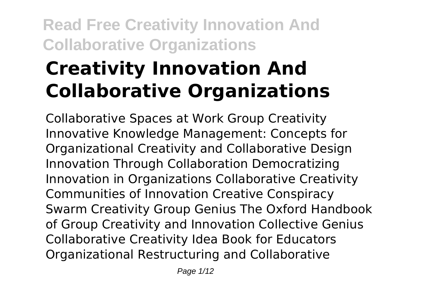# **Creativity Innovation And Collaborative Organizations**

Collaborative Spaces at Work Group Creativity Innovative Knowledge Management: Concepts for Organizational Creativity and Collaborative Design Innovation Through Collaboration Democratizing Innovation in Organizations Collaborative Creativity Communities of Innovation Creative Conspiracy Swarm Creativity Group Genius The Oxford Handbook of Group Creativity and Innovation Collective Genius Collaborative Creativity Idea Book for Educators Organizational Restructuring and Collaborative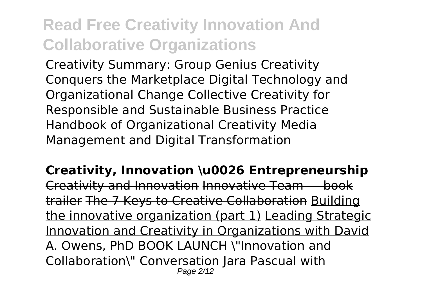Creativity Summary: Group Genius Creativity Conquers the Marketplace Digital Technology and Organizational Change Collective Creativity for Responsible and Sustainable Business Practice Handbook of Organizational Creativity Media Management and Digital Transformation

**Creativity, Innovation \u0026 Entrepreneurship** Creativity and Innovation Innovative Team — book trailer The 7 Keys to Creative Collaboration Building the innovative organization (part 1) Leading Strategic Innovation and Creativity in Organizations with David A. Owens, PhD BOOK LAUNCH \"Innovation and Collaboration\" Conversation Jara Pascual with Page 2/12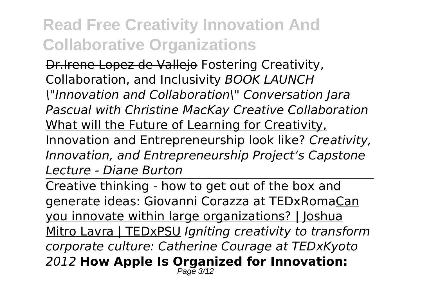Dr.Irene Lopez de Vallejo Fostering Creativity, Collaboration, and Inclusivity *BOOK LAUNCH \"Innovation and Collaboration\" Conversation Jara Pascual with Christine MacKay Creative Collaboration* What will the Future of Learning for Creativity, Innovation and Entrepreneurship look like? *Creativity, Innovation, and Entrepreneurship Project's Capstone Lecture - Diane Burton*

Creative thinking - how to get out of the box and generate ideas: Giovanni Corazza at TEDxRomaCan you innovate within large organizations? | Joshua Mitro Lavra | TEDxPSU *Igniting creativity to transform corporate culture: Catherine Courage at TEDxKyoto 2012* **How Apple Is Organized for Innovation:** Page 3/12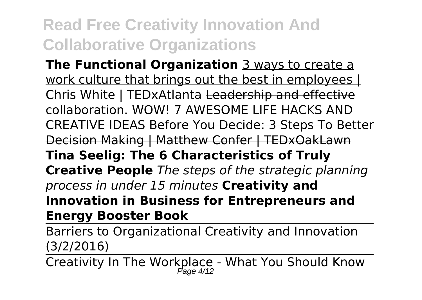**The Functional Organization** 3 ways to create a work culture that brings out the best in employees | Chris White | TEDxAtlanta Leadership and effective collaboration. WOW! 7 AWESOME LIFE HACKS AND CREATIVE IDEAS Before You Decide: 3 Steps To Better Decision Making | Matthew Confer | TEDxOakLawn **Tina Seelig: The 6 Characteristics of Truly Creative People** *The steps of the strategic planning process in under 15 minutes* **Creativity and Innovation in Business for Entrepreneurs and Energy Booster Book**

Barriers to Organizational Creativity and Innovation (3/2/2016)

Creativity In The Workplace - What You Should Know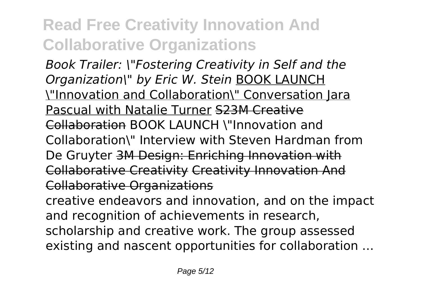*Book Trailer: \"Fostering Creativity in Self and the Organization\" by Eric W. Stein* BOOK LAUNCH \"Innovation and Collaboration\" Conversation Jara Pascual with Natalie Turner S23M Creative Collaboration BOOK LAUNCH \"Innovation and Collaboration\" Interview with Steven Hardman from De Gruyter 3M Design: Enriching Innovation with Collaborative Creativity Creativity Innovation And Collaborative Organizations

creative endeavors and innovation, and on the impact and recognition of achievements in research, scholarship and creative work. The group assessed existing and nascent opportunities for collaboration ...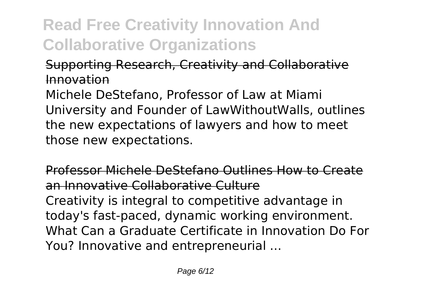### Supporting Research, Creativity and Collaborative Innovation

Michele DeStefano, Professor of Law at Miami University and Founder of LawWithoutWalls, outlines the new expectations of lawyers and how to meet those new expectations.

Professor Michele DeStefano Outlines How to Create an Innovative Collaborative Culture Creativity is integral to competitive advantage in today's fast-paced, dynamic working environment. What Can a Graduate Certificate in Innovation Do For You? Innovative and entrepreneurial ...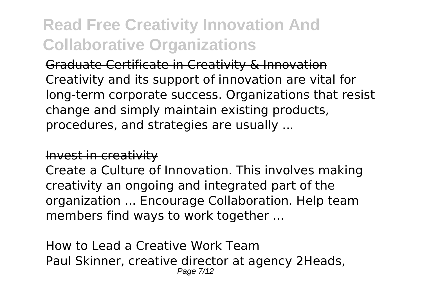Graduate Certificate in Creativity & Innovation Creativity and its support of innovation are vital for long-term corporate success. Organizations that resist change and simply maintain existing products, procedures, and strategies are usually ...

#### Invest in creativity

Create a Culture of Innovation. This involves making creativity an ongoing and integrated part of the organization ... Encourage Collaboration. Help team members find ways to work together ...

How to Lead a Creative Work Team Paul Skinner, creative director at agency 2Heads, Page 7/12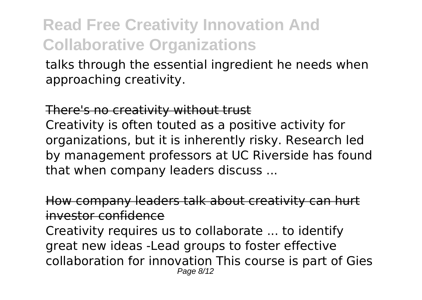talks through the essential ingredient he needs when approaching creativity.

There's no creativity without trust

Creativity is often touted as a positive activity for organizations, but it is inherently risky. Research led by management professors at UC Riverside has found that when company leaders discuss ...

How company leaders talk about creativity can hurt investor confidence

Creativity requires us to collaborate ... to identify great new ideas -Lead groups to foster effective collaboration for innovation This course is part of Gies Page 8/12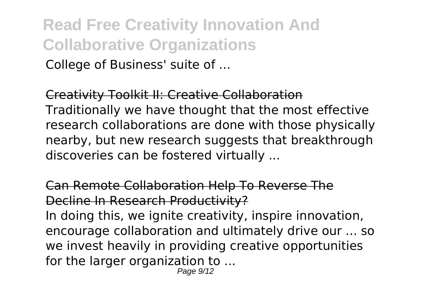**Read Free Creativity Innovation And Collaborative Organizations** College of Business' suite of ...

Creativity Toolkit II: Creative Collaboration Traditionally we have thought that the most effective research collaborations are done with those physically nearby, but new research suggests that breakthrough discoveries can be fostered virtually ...

Can Remote Collaboration Help To Reverse The Decline In Research Productivity? In doing this, we ignite creativity, inspire innovation,

encourage collaboration and ultimately drive our ... so we invest heavily in providing creative opportunities for the larger organization to ...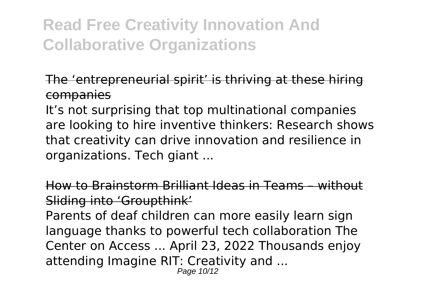The 'entrepreneurial spirit' is thriving at these hiring companies

It's not surprising that top multinational companies are looking to hire inventive thinkers: Research shows that creativity can drive innovation and resilience in organizations. Tech giant ...

How to Brainstorm Brilliant Ideas in Teams – without Sliding into 'Groupthink'

Parents of deaf children can more easily learn sign language thanks to powerful tech collaboration The Center on Access ... April 23, 2022 Thousands enjoy attending Imagine RIT: Creativity and ...

Page 10/12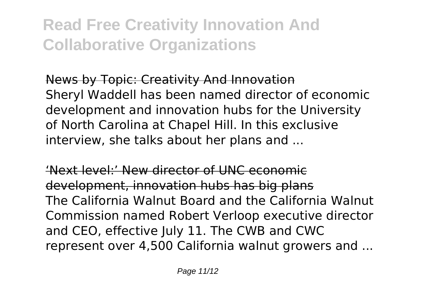News by Topic: Creativity And Innovation Sheryl Waddell has been named director of economic development and innovation hubs for the University of North Carolina at Chapel Hill. In this exclusive interview, she talks about her plans and ...

'Next level:' New director of UNC economic development, innovation hubs has big plans The California Walnut Board and the California Walnut Commission named Robert Verloop executive director and CEO, effective July 11. The CWB and CWC represent over 4,500 California walnut growers and ...